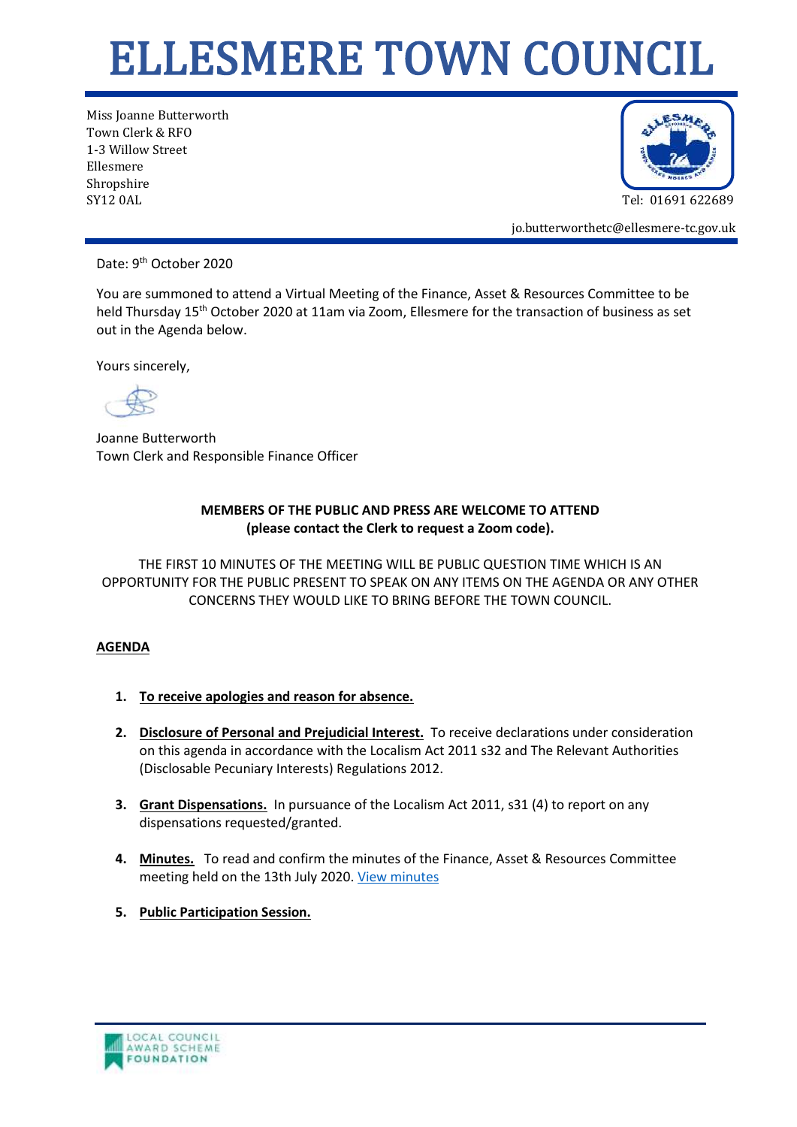## ELLESMERE TOWN COUNCIL

Miss Joanne Butterworth Town Clerk & RFO 1-3 Willow Street Ellesmere Shropshire SY12 0AL Tel: 01691 622689



jo.butterworthetc@ellesmere-tc.gov.uk

Date: 9<sup>th</sup> October 2020

You are summoned to attend a Virtual Meeting of the Finance, Asset & Resources Committee to be held Thursday 15<sup>th</sup> October 2020 at 11am via Zoom, Ellesmere for the transaction of business as set out in the Agenda below.

Yours sincerely,

Joanne Butterworth Town Clerk and Responsible Finance Officer

## **MEMBERS OF THE PUBLIC AND PRESS ARE WELCOME TO ATTEND (please contact the Clerk to request a Zoom code).**

THE FIRST 10 MINUTES OF THE MEETING WILL BE PUBLIC QUESTION TIME WHICH IS AN OPPORTUNITY FOR THE PUBLIC PRESENT TO SPEAK ON ANY ITEMS ON THE AGENDA OR ANY OTHER CONCERNS THEY WOULD LIKE TO BRING BEFORE THE TOWN COUNCIL.

## **AGENDA**

- **1. To receive apologies and reason for absence.**
- **2. Disclosure of Personal and Prejudicial Interest.** To receive declarations under consideration on this agenda in accordance with the Localism Act 2011 s32 and The Relevant Authorities (Disclosable Pecuniary Interests) Regulations 2012.
- **3. Grant Dispensations.** In pursuance of the Localism Act 2011, s31 (4) to report on any dispensations requested/granted.
- **4. Minutes.** To read and confirm the minutes of the Finance, Asset & Resources Committee meeting held on the 13th July 2020. [View minutes](https://ellesmere-tc.gov.uk/wp-content/uploads/2020/08/FAR-Cttee-Draft-Minutes-13072020.pdf)
- **5. Public Participation Session.**